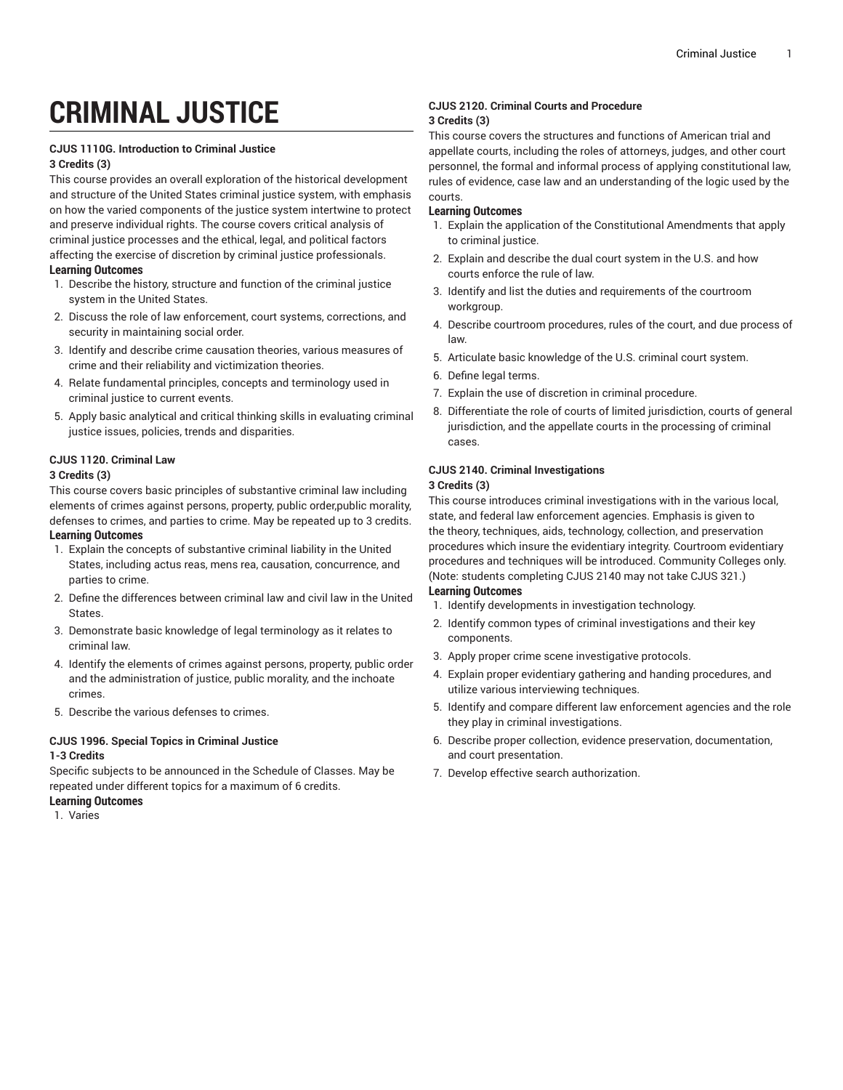# **CRIMINAL JUSTICE**

# **CJUS 1110G. Introduction to Criminal Justice**

## **3 Credits (3)**

This course provides an overall exploration of the historical development and structure of the United States criminal justice system, with emphasis on how the varied components of the justice system intertwine to protect and preserve individual rights. The course covers critical analysis of criminal justice processes and the ethical, legal, and political factors affecting the exercise of discretion by criminal justice professionals. **Learning Outcomes**

- 1. Describe the history, structure and function of the criminal justice system in the United States.
- 2. Discuss the role of law enforcement, court systems, corrections, and security in maintaining social order.
- 3. Identify and describe crime causation theories, various measures of crime and their reliability and victimization theories.
- 4. Relate fundamental principles, concepts and terminology used in criminal justice to current events.
- 5. Apply basic analytical and critical thinking skills in evaluating criminal justice issues, policies, trends and disparities.

# **CJUS 1120. Criminal Law**

#### **3 Credits (3)**

This course covers basic principles of substantive criminal law including elements of crimes against persons, property, public order,public morality, defenses to crimes, and parties to crime. May be repeated up to 3 credits.

# **Learning Outcomes**

- 1. Explain the concepts of substantive criminal liability in the United States, including actus reas, mens rea, causation, concurrence, and parties to crime.
- 2. Define the differences between criminal law and civil law in the United States.
- 3. Demonstrate basic knowledge of legal terminology as it relates to criminal law.
- 4. Identify the elements of crimes against persons, property, public order and the administration of justice, public morality, and the inchoate crimes.
- 5. Describe the various defenses to crimes.

#### **CJUS 1996. Special Topics in Criminal Justice 1-3 Credits**

Specific subjects to be announced in the Schedule of Classes. May be repeated under different topics for a maximum of 6 credits.

# **Learning Outcomes**

1. Varies

## **CJUS 2120. Criminal Courts and Procedure 3 Credits (3)**

This course covers the structures and functions of American trial and appellate courts, including the roles of attorneys, judges, and other court personnel, the formal and informal process of applying constitutional law, rules of evidence, case law and an understanding of the logic used by the courts.

## **Learning Outcomes**

- 1. Explain the application of the Constitutional Amendments that apply to criminal justice.
- 2. Explain and describe the dual court system in the U.S. and how courts enforce the rule of law.
- 3. Identify and list the duties and requirements of the courtroom workgroup.
- 4. Describe courtroom procedures, rules of the court, and due process of law.
- 5. Articulate basic knowledge of the U.S. criminal court system.
- 6. Define legal terms.
- 7. Explain the use of discretion in criminal procedure.
- 8. Differentiate the role of courts of limited jurisdiction, courts of general jurisdiction, and the appellate courts in the processing of criminal cases.

# **CJUS 2140. Criminal Investigations**

### **3 Credits (3)**

This course introduces criminal investigations with in the various local, state, and federal law enforcement agencies. Emphasis is given to the theory, techniques, aids, technology, collection, and preservation procedures which insure the evidentiary integrity. Courtroom evidentiary procedures and techniques will be introduced. Community Colleges only. (Note: students completing CJUS 2140 may not take CJUS 321.) **Learning Outcomes**

- 1. Identify developments in investigation technology.
- 2. Identify common types of criminal investigations and their key components.
- 3. Apply proper crime scene investigative protocols.
- 4. Explain proper evidentiary gathering and handing procedures, and utilize various interviewing techniques.
- 5. Identify and compare different law enforcement agencies and the role they play in criminal investigations.
- 6. Describe proper collection, evidence preservation, documentation, and court presentation.
- 7. Develop effective search authorization.